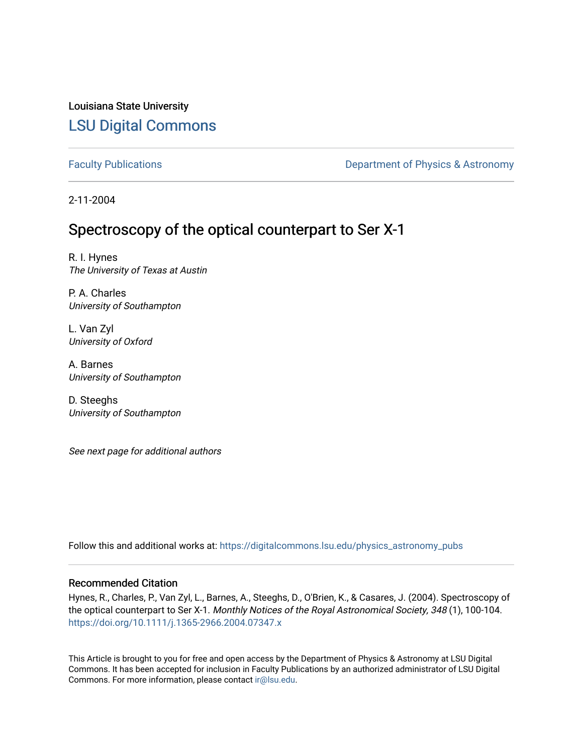Louisiana State University [LSU Digital Commons](https://digitalcommons.lsu.edu/)

[Faculty Publications](https://digitalcommons.lsu.edu/physics_astronomy_pubs) **Exercise 2 and Table 2 and Table 2 and Table 2 and Table 2 and Table 2 and Table 2 and Table 2 and Table 2 and Table 2 and Table 2 and Table 2 and Table 2 and Table 2 and Table 2 and Table 2 and Table** 

2-11-2004

# Spectroscopy of the optical counterpart to Ser X-1

R. I. Hynes The University of Texas at Austin

P. A. Charles University of Southampton

L. Van Zyl University of Oxford

A. Barnes University of Southampton

D. Steeghs University of Southampton

See next page for additional authors

Follow this and additional works at: [https://digitalcommons.lsu.edu/physics\\_astronomy\\_pubs](https://digitalcommons.lsu.edu/physics_astronomy_pubs?utm_source=digitalcommons.lsu.edu%2Fphysics_astronomy_pubs%2F2638&utm_medium=PDF&utm_campaign=PDFCoverPages) 

## Recommended Citation

Hynes, R., Charles, P., Van Zyl, L., Barnes, A., Steeghs, D., O'Brien, K., & Casares, J. (2004). Spectroscopy of the optical counterpart to Ser X-1. Monthly Notices of the Royal Astronomical Society, 348 (1), 100-104. <https://doi.org/10.1111/j.1365-2966.2004.07347.x>

This Article is brought to you for free and open access by the Department of Physics & Astronomy at LSU Digital Commons. It has been accepted for inclusion in Faculty Publications by an authorized administrator of LSU Digital Commons. For more information, please contact [ir@lsu.edu](mailto:ir@lsu.edu).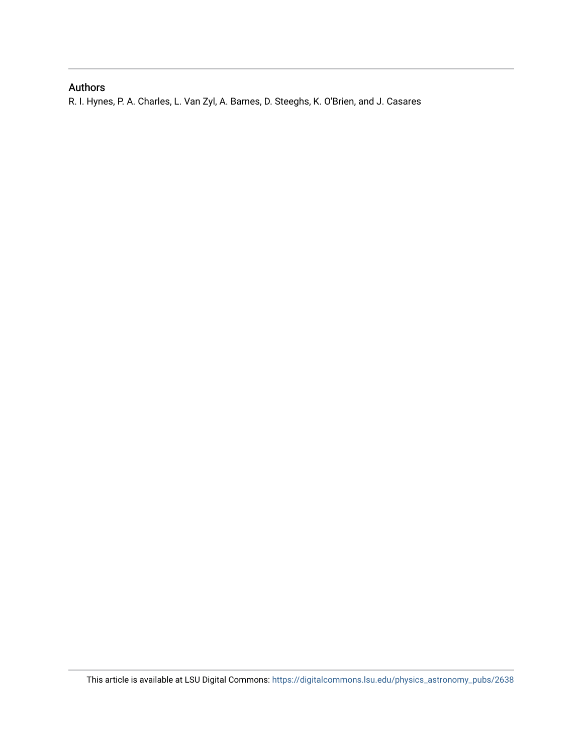## Authors

R. I. Hynes, P. A. Charles, L. Van Zyl, A. Barnes, D. Steeghs, K. O'Brien, and J. Casares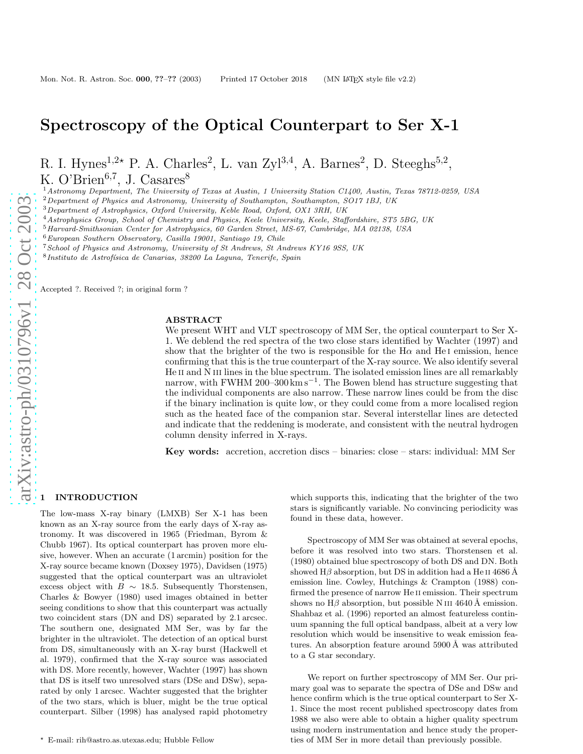## Spectroscopy of the Optical Counterpart to Ser X-1

R. I. Hynes<sup>1,2\*</sup> P. A. Charles<sup>2</sup>, L. van Zyl<sup>3,4</sup>, A. Barnes<sup>2</sup>, D. Steeghs<sup>5,2</sup>, K. O'Brien<sup>6,7</sup>, J. Casares<sup>8</sup>

<sup>1</sup> Astronomy Department, The University of Texas at Austin, 1 University Station C1400, Austin, Texas 78712-0259, USA<br>
<sup>2</sup> Department of Physics and Astronomy, University of Southampton, Southampton, SO17 1BJ, UK<br>
<sup>3</sup> De

 $8$ Instituto de Astrofísica de Canarias, 38200 La Laguna, Tenerife, Spain

Accepted ?. Received ?; in original form ?

### ABSTRACT

We present WHT and VLT spectroscopy of MM Ser, the optical counterpart to Ser X-1. We deblend the red spectra of the two close stars identified by Wachter (1997) and show that the brighter of the two is responsible for the  $H\alpha$  and  $HeI$  emission, hence confirming that this is the true counterpart of the X-ray source. We also identify several He II and N III lines in the blue spectrum. The isolated emission lines are all remarkably narrow, with FWHM 200–300 km s<sup>-1</sup>. The Bowen blend has structure suggesting that the individual components are also narrow. These narrow lines could be from the disc if the binary inclination is quite low, or they could come from a more localised region such as the heated face of the companion star. Several interstellar lines are detected and indicate that the reddening is moderate, and consistent with the neutral hydrogen column density inferred in X-rays.

Key words: accretion, accretion discs – binaries: close – stars: individual: MM Se r

#### **INTRODUCTION**

The low-mass X-ray binary (LMXB) Ser X-1 has been known as an X-ray source from the early days of X-ray astronomy. It was discovered in 1965 (Friedman, Byrom & Chubb 1967). Its optical counterpart has proven more elusive, however. When an accurate (1 arcmin) position for the X-ray source became known (Doxsey 1975), Davidsen (1975) suggested that the optical counterpart was an ultraviolet excess object with  $B \sim 18.5$ . Subsequently Thorstensen, Charles & Bowyer (1980) used images obtained in better seeing conditions to show that this counterpart was actually two coincident stars (DN and DS) separated by 2.1 arcsec. The southern one, designated MM Ser, was by far the brighter in the ultraviolet. The detection of an optical burst from DS, simultaneously with an X-ray burst (Hackwell et al. 1979), confirmed that the X-ray source was associated with DS. More recently, however, Wachter (1997) has shown that DS is itself two unresolved stars (DSe and DSw), separated by only 1 arcsec. Wachter suggested that the brighter of the two stars, which is bluer, might be the true optical counterpart. Silber (1998) has analysed rapid photometry

which supports this, indicating that the brighter of the two stars is significantly variable. No convincing periodicity was found in these data, however.

Spectroscopy of MM Ser was obtained at several epochs, before it was resolved into two stars. Thorstensen et al. (1980) obtained blue spectroscopy of both DS and DN. Both showed  $H\beta$  absorption, but DS in addition had a He II 4686 Å emission line. Cowley, Hutchings & Crampton (1988) confirmed the presence of narrow He ii emission. Their spectrum shows no  $H\beta$  absorption, but possible N III 4640 Å emission. Shahbaz et al. (1996) reported an almost featureless contin uum spanning the full optical bandpass, albeit at a very low resolution which would be insensitive to weak emission features. An absorption feature around  $5900 \text{\AA}$  was attributed to a G star secondary.

We report on further spectroscopy of MM Ser. Our primary goal was to separate the spectra of DSe and DSw and hence confirm which is the true optical counterpart to Ser X-1. Since the most recent published spectroscopy dates from 1988 we also were able to obtain a higher quality spectrum using modern instrumentation and hence study the properties of MM Ser in more detail than previously possible.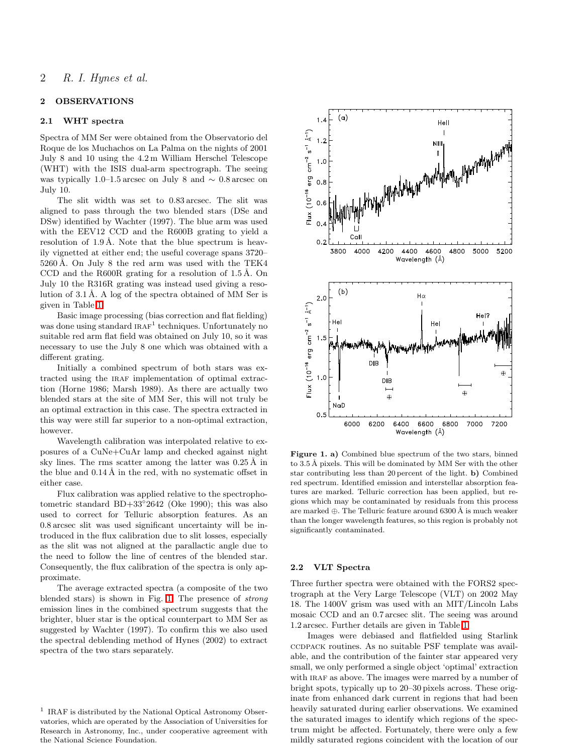#### 2 OBSERVATIONS

### 2.1 WHT spectra

Spectra of MM Ser were obtained from the Observatorio del Roque de los Muchachos on La Palma on the nights of 2001 July 8 and 10 using the 4.2 m William Herschel Telescope (WHT) with the ISIS dual-arm spectrograph. The seeing was typically 1.0–1.5 arcsec on July 8 and  $\sim 0.8$  arcsec on July 10.

The slit width was set to 0.83 arcsec. The slit was aligned to pass through the two blended stars (DSe and DSw) identified by Wachter (1997). The blue arm was used with the EEV12 CCD and the R600B grating to yield a resolution of  $1.9 \text{ Å}$ . Note that the blue spectrum is heavily vignetted at either end; the useful coverage spans 3720–  $5260 \text{\AA}$ . On July 8 the red arm was used with the TEK4 CCD and the R600R grating for a resolution of  $1.5 \text{ Å}$ . On July 10 the R316R grating was instead used giving a resolution of  $3.1 \text{ Å}$ . A log of the spectra obtained of MM Ser is given in Table [1.](#page-4-0)

Basic image processing (bias correction and flat fielding) was done using standard  $IRAF<sup>1</sup>$  techniques. Unfortunately no suitable red arm flat field was obtained on July 10, so it was necessary to use the July 8 one which was obtained with a different grating.

Initially a combined spectrum of both stars was extracted using the IRAF implementation of optimal extraction (Horne 1986; Marsh 1989). As there are actually two blended stars at the site of MM Ser, this will not truly be an optimal extraction in this case. The spectra extracted in this way were still far superior to a non-optimal extraction, however.

Wavelength calibration was interpolated relative to exposures of a CuNe+CuAr lamp and checked against night sky lines. The rms scatter among the latter was  $0.25 \text{ Å}$  in the blue and  $0.14 \text{ Å}$  in the red, with no systematic offset in either case.

Flux calibration was applied relative to the spectrophotometric standard BD+33°2642 (Oke 1990); this was also used to correct for Telluric absorption features. As an 0.8 arcsec slit was used significant uncertainty will be introduced in the flux calibration due to slit losses, especially as the slit was not aligned at the parallactic angle due to the need to follow the line of centres of the blended star. Consequently, the flux calibration of the spectra is only approximate.

The average extracted spectra (a composite of the two blended stars) is shown in Fig. [1.](#page-3-0) The presence of strong emission lines in the combined spectrum suggests that the brighter, bluer star is the optical counterpart to MM Ser as suggested by Wachter (1997). To confirm this we also used the spectral deblending method of Hynes (2002) to extract spectra of the two stars separately.



<span id="page-3-0"></span>Figure 1. a) Combined blue spectrum of the two stars, binned to 3.5 Å pixels. This will be dominated by MM Ser with the other star contributing less than 20 percent of the light. b) Combined red spectrum. Identified emission and interstellar absorption features are marked. Telluric correction has been applied, but regions which may be contaminated by residuals from this process are marked  $\oplus$ . The Telluric feature around 6300 Å is much weaker than the longer wavelength features, so this region is probably not significantly contaminated.

#### 2.2 VLT Spectra

Three further spectra were obtained with the FORS2 spectrograph at the Very Large Telescope (VLT) on 2002 May 18. The 1400V grism was used with an MIT/Lincoln Labs mosaic CCD and an 0.7 arcsec slit. The seeing was around 1.2 arcsec. Further details are given in Table [1.](#page-4-0)

Images were debiased and flatfielded using Starlink ccdpack routines. As no suitable PSF template was available, and the contribution of the fainter star appeared very small, we only performed a single object 'optimal' extraction with IRAF as above. The images were marred by a number of bright spots, typically up to 20–30 pixels across. These originate from enhanced dark current in regions that had been heavily saturated during earlier observations. We examined the saturated images to identify which regions of the spectrum might be affected. Fortunately, there were only a few mildly saturated regions coincident with the location of our

<sup>&</sup>lt;sup>1</sup> IRAF is distributed by the National Optical Astronomy Observatories, which are operated by the Association of Universities for Research in Astronomy, Inc., under cooperative agreement with the National Science Foundation.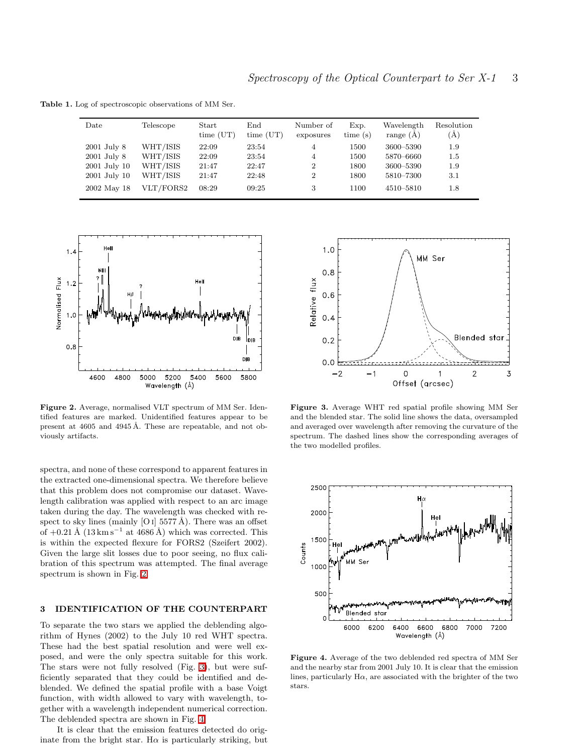<span id="page-4-0"></span>Table 1. Log of spectroscopic observations of MM Ser.

| Date            | Telescope | Start<br>time (UT) | $_{\rm End}$<br>time (UT) | Number of<br>exposures | Exp.<br>time(s) | Wavelength<br>range $(A)$ | Resolution<br>(A) |
|-----------------|-----------|--------------------|---------------------------|------------------------|-----------------|---------------------------|-------------------|
| $2001$ July $8$ | WHT/ISIS  | 22:09              | 23:54                     | 4                      | 1500            | 3600-5390                 | 1.9               |
| $2001$ July $8$ | WHT/ISIS  | 22:09              | 23:54                     | 4                      | 1500            | 5870-6660                 | $1.5\,$           |
| 2001 July 10    | WHT/ISIS  | 21:47              | 22:47                     | $\overline{2}$         | 1800            | 3600-5390                 | 1.9               |
| 2001 July 10    | WHT/ISIS  | 21:47              | 22:48                     | $\overline{2}$         | 1800            | 5810–7300                 | 3.1               |
| 2002 May 18     | VLT/FORS2 | 08:29              | 09:25                     | 3                      | 1100            | 4510–5810                 | 1.8               |



<span id="page-4-1"></span>Figure 2. Average, normalised VLT spectrum of MM Ser. Identified features are marked. Unidentified features appear to be present at  $4605$  and  $4945 \text{ Å}$ . These are repeatable, and not obviously artifacts.

spectra, and none of these correspond to apparent features in the extracted one-dimensional spectra. We therefore believe that this problem does not compromise our dataset. Wavelength calibration was applied with respect to an arc image taken during the day. The wavelength was checked with respect to sky lines (mainly [O I] 5577 Å). There was an offset of  $+0.21 \text{ Å}$  (13 km s<sup>-1</sup> at 4686 Å) which was corrected. This is within the expected flexure for FORS2 (Szeifert 2002). Given the large slit losses due to poor seeing, no flux calibration of this spectrum was attempted. The final average spectrum is shown in Fig. [2.](#page-4-1)

## 3 IDENTIFICATION OF THE COUNTERPART

To separate the two stars we applied the deblending algorithm of Hynes (2002) to the July 10 red WHT spectra. These had the best spatial resolution and were well exposed, and were the only spectra suitable for this work. The stars were not fully resolved (Fig. [3\)](#page-4-2), but were sufficiently separated that they could be identified and deblended. We defined the spatial profile with a base Voigt function, with width allowed to vary with wavelength, together with a wavelength independent numerical correction. The deblended spectra are shown in Fig. [4.](#page-4-3)

It is clear that the emission features detected do originate from the bright star. H $\alpha$  is particularly striking, but



<span id="page-4-2"></span>Figure 3. Average WHT red spatial profile showing MM Ser and the blended star. The solid line shows the data, oversampled and averaged over wavelength after removing the curvature of the spectrum. The dashed lines show the corresponding averages of the two modelled profiles.



<span id="page-4-3"></span>Figure 4. Average of the two deblended red spectra of MM Ser and the nearby star from 2001 July 10. It is clear that the emission lines, particularly  $H\alpha$ , are associated with the brighter of the two stars.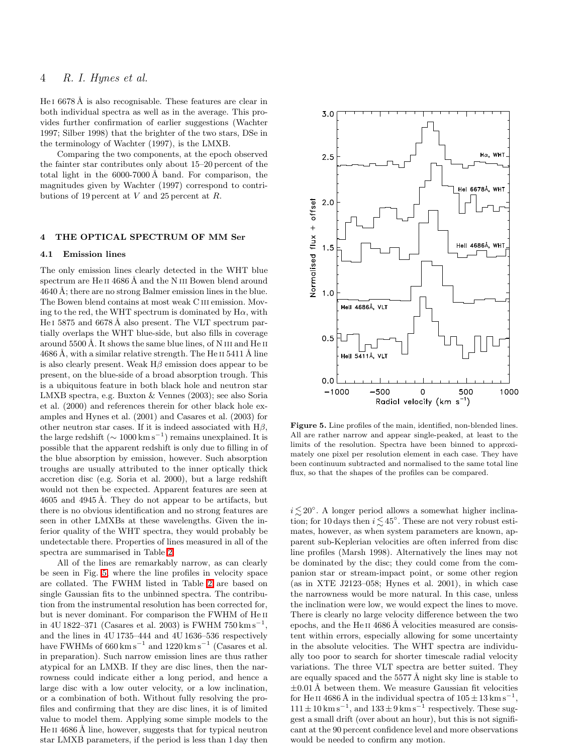## 4 R. I. Hynes et al.

He  $16678 \text{\AA}$  is also recognisable. These features are clear in both individual spectra as well as in the average. This provides further confirmation of earlier suggestions (Wachter 1997; Silber 1998) that the brighter of the two stars, DSe in the terminology of Wachter (1997), is the LMXB.

Comparing the two components, at the epoch observed the fainter star contributes only about 15–20 percent of the total light in the  $6000-7000$  Å band. For comparison, the magnitudes given by Wachter (1997) correspond to contributions of 19 percent at V and 25 percent at R.

### 4 THE OPTICAL SPECTRUM OF MM Ser

#### 4.1 Emission lines

The only emission lines clearly detected in the WHT blue spectrum are He<sub>II</sub> 4686 Å and the N<sub>III</sub> Bowen blend around  $4640 \text{ Å}$ ; there are no strong Balmer emission lines in the blue. The Bowen blend contains at most weak C iii emission. Moving to the red, the WHT spectrum is dominated by  $H\alpha$ , with He I 5875 and 6678 Å also present. The VLT spectrum partially overlaps the WHT blue-side, but also fills in coverage around  $5500 \text{ Å}$ . It shows the same blue lines, of N III and He II  $4686$  Å, with a similar relative strength. The He II 5411 Å line is also clearly present. Weak  $H\beta$  emission does appear to be present, on the blue-side of a broad absorption trough. This is a ubiquitous feature in both black hole and neutron star LMXB spectra, e.g. Buxton & Vennes (2003); see also Soria et al. (2000) and references therein for other black hole examples and Hynes et al. (2001) and Casares et al. (2003) for other neutron star cases. If it is indeed associated with  $H\beta$ , the large redshift ( $\sim 1000 \text{ km s}^{-1}$ ) remains unexplained. It is possible that the apparent redshift is only due to filling in of the blue absorption by emission, however. Such absorption troughs are usually attributed to the inner optically thick accretion disc (e.g. Soria et al. 2000), but a large redshift would not then be expected. Apparent features are seen at  $4605$  and  $4945 \text{ Å}$ . They do not appear to be artifacts, but there is no obvious identification and no strong features are seen in other LMXBs at these wavelengths. Given the inferior quality of the WHT spectra, they would probably be undetectable there. Properties of lines measured in all of the spectra are summarised in Table [2.](#page-6-0)

All of the lines are remarkably narrow, as can clearly be seen in Fig. [5,](#page-5-0) where the line profiles in velocity space are collated. The FWHM listed in Table [2](#page-6-0) are based on single Gaussian fits to the unbinned spectra. The contribution from the instrumental resolution has been corrected for, but is never dominant. For comparison the FWHM of He ii in 4U 1822–371 (Casares et al. 2003) is FWHM  $750 \,\mathrm{km \, s}^{-1}$ , and the lines in 4U 1735–444 and 4U 1636–536 respectively have FWHMs of  $660 \text{ km s}^{-1}$  and  $1220 \text{ km s}^{-1}$  (Casares et al. in preparation). Such narrow emission lines are thus rather atypical for an LMXB. If they are disc lines, then the narrowness could indicate either a long period, and hence a large disc with a low outer velocity, or a low inclination, or a combination of both. Without fully resolving the profiles and confirming that they are disc lines, it is of limited value to model them. Applying some simple models to the He II 4686 Å line, however, suggests that for typical neutron star LMXB parameters, if the period is less than 1 day then



<span id="page-5-0"></span>Figure 5. Line profiles of the main, identified, non-blended lines. All are rather narrow and appear single-peaked, at least to the limits of the resolution. Spectra have been binned to approximately one pixel per resolution element in each case. They have been continuum subtracted and normalised to the same total line flux, so that the shapes of the profiles can be compared.

 $i \lesssim 20^\circ$ . A longer period allows a somewhat higher inclination; for 10 days then  $i \lesssim 45^{\circ}$ . These are not very robust estimates, however, as when system parameters are known, apparent sub-Keplerian velocities are often inferred from disc line profiles (Marsh 1998). Alternatively the lines may not be dominated by the disc; they could come from the companion star or stream-impact point, or some other region (as in XTE J2123–058; Hynes et al. 2001), in which case the narrowness would be more natural. In this case, unless the inclination were low, we would expect the lines to move. There is clearly no large velocity difference between the two epochs, and the He<sub>II</sub> 4686 Å velocities measured are consistent within errors, especially allowing for some uncertainty in the absolute velocities. The WHT spectra are individually too poor to search for shorter timescale radial velocity variations. The three VLT spectra are better suited. They are equally spaced and the  $5577 \text{ Å}$  night sky line is stable to  $\pm 0.01$  Å between them. We measure Gaussian fit velocities for He II 4686 Å in the individual spectra of  $105 \pm 13$  km s<sup>-1</sup>,  $111 \pm 10 \text{ km s}^{-1}$ , and  $133 \pm 9 \text{ km s}^{-1}$  respectively. These suggest a small drift (over about an hour), but this is not significant at the 90 percent confidence level and more observations would be needed to confirm any motion.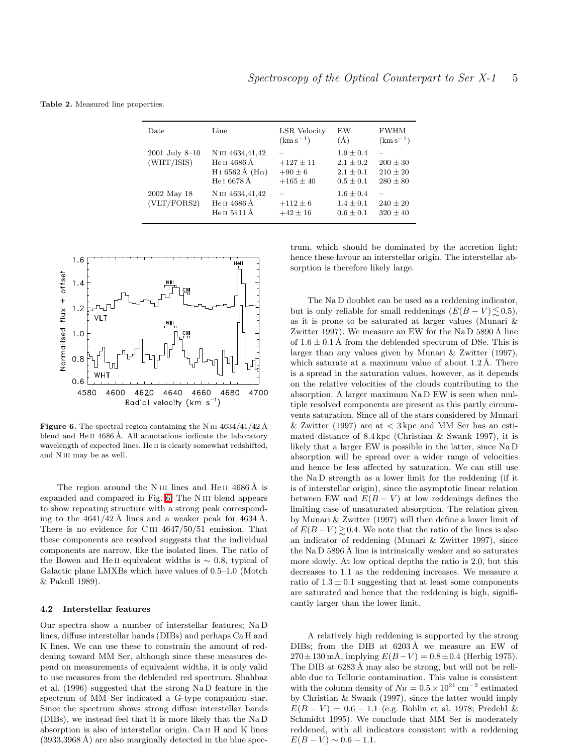<span id="page-6-0"></span>Table 2. Measured line properties.

| Date                         | Line                                                                                  | LSR Velocity<br>$(km s^{-1})$                | EW<br>(A)                                                      | <b>FWHM</b><br>$(km s^{-1})$                 |
|------------------------------|---------------------------------------------------------------------------------------|----------------------------------------------|----------------------------------------------------------------|----------------------------------------------|
| 2001 July 8-10<br>(WHT/ISIS) | N III 4634,41,42<br>Не п 4686 A<br>H <sub>I</sub> 6562 Å (H $\alpha$ )<br>He I 6678 Å | $+127 \pm 11$<br>$+90\pm 6$<br>$+165 \pm 40$ | $1.9 \pm 0.4$<br>$2.1 \pm 0.2$<br>$2.1 \pm 0.1$<br>$0.5 + 0.1$ | $200 \pm 30$<br>$210 \pm 20$<br>$280 \pm 80$ |
| 2002 May 18<br>(VLT/FORS2)   | N III 4634,41,42<br>Не и 4686 Å<br>Неп 5411 Å                                         | $+112 \pm 6$<br>$+42 \pm 16$                 | $1.6 \pm 0.4$<br>$1.4 \pm 0.1$<br>$0.6 \pm 0.1$                | $240 \pm 20$<br>$320 \pm 40$                 |



<span id="page-6-1"></span>**Figure 6.** The spectral region containing the N III  $4634/41/42$  Å blend and  $\text{He II } 4686 \text{ Å}$ . All annotations indicate the laboratory wavelength of expected lines. He ii is clearly somewhat redshifted, and N<sub>III</sub> may be as well.

The region around the N III lines and He II 4686 Å is expanded and compared in Fig. [6.](#page-6-1) The N iii blend appears to show repeating structure with a strong peak corresponding to the  $4641/42$  Å lines and a weaker peak for  $4634$  Å. There is no evidence for C<sub>III</sub>  $4647/50/51$  emission. That these components are resolved suggests that the individual components are narrow, like the isolated lines. The ratio of the Bowen and He II equivalent widths is  $\sim$  0.8, typical of Galactic plane LMXBs which have values of 0.5–1.0 (Motch & Pakull 1989).

#### 4.2 Interstellar features

Our spectra show a number of interstellar features; Na D lines, diffuse interstellar bands (DIBs) and perhaps Ca H and K lines. We can use these to constrain the amount of reddening toward MM Ser, although since these measures depend on measurements of equivalent widths, it is only valid to use measures from the deblended red spectrum. Shahbaz et al. (1996) suggested that the strong Na D feature in the spectrum of MM Ser indicated a G-type companion star. Since the spectrum shows strong diffuse interstellar bands (DIBs), we instead feel that it is more likely that the Na D absorption is also of interstellar origin. Ca ii H and K lines  $(3933,3968 \text{ Å})$  are also marginally detected in the blue spectrum, which should be dominated by the accretion light; hence these favour an interstellar origin. The interstellar absorption is therefore likely large.

The Na D doublet can be used as a reddening indicator, but is only reliable for small reddenings  $(E(B - V) \le 0.5)$ , as it is prone to be saturated at larger values (Munari & Zwitter 1997). We measure an EW for the Na D  $5890 \text{\AA}$  line of  $1.6 \pm 0.1$  Å from the deblended spectrum of DSe. This is larger than any values given by Munari & Zwitter (1997), which saturate at a maximum value of about  $1.2 \text{ Å}$ . There is a spread in the saturation values, however, as it depends on the relative velocities of the clouds contributing to the absorption. A larger maximum Na D EW is seen when multiple resolved components are present as this partly circumvents saturation. Since all of the stars considered by Munari & Zwitter (1997) are at  $\lt$  3 kpc and MM Ser has an estimated distance of 8.4 kpc (Christian & Swank 1997), it is likely that a larger EW is possible in the latter, since Na D absorption will be spread over a wider range of velocities and hence be less affected by saturation. We can still use the Na D strength as a lower limit for the reddening (if it is of interstellar origin), since the asymptotic linear relation between EW and  $E(B - V)$  at low reddenings defines the limiting case of unsaturated absorption. The relation given by Munari & Zwitter (1997) will then define a lower limit of of  $E(B-V) \gtrsim 0.4$ . We note that the ratio of the lines is also an indicator of reddening (Munari & Zwitter 1997), since the Na D  $5896 \text{ Å}$  line is intrinsically weaker and so saturates more slowly. At low optical depths the ratio is 2.0, but this decreases to 1.1 as the reddening increases. We measure a ratio of  $1.3 \pm 0.1$  suggesting that at least some components are saturated and hence that the reddening is high, significantly larger than the lower limit.

A relatively high reddening is supported by the strong DIBs; from the DIB at  $6203 \text{\AA}$  we measure an EW of  $270 \pm 130$  mÅ, implying  $E(B-V) = 0.8 \pm 0.4$  (Herbig 1975). The DIB at  $6283 \text{\AA}$  may also be strong, but will not be reliable due to Telluric contamination. This value is consistent with the column density of  $N_{\rm H} = 0.5 \times 10^{21}$  cm<sup>-2</sup> estimated by Christian & Swank (1997), since the latter would imply  $E(B - V) = 0.6 - 1.1$  (e.g. Bohlin et al. 1978; Predehl & Schmidtt 1995). We conclude that MM Ser is moderately reddened, with all indicators consistent with a reddening  $E(B-V) \sim 0.6 - 1.1.$